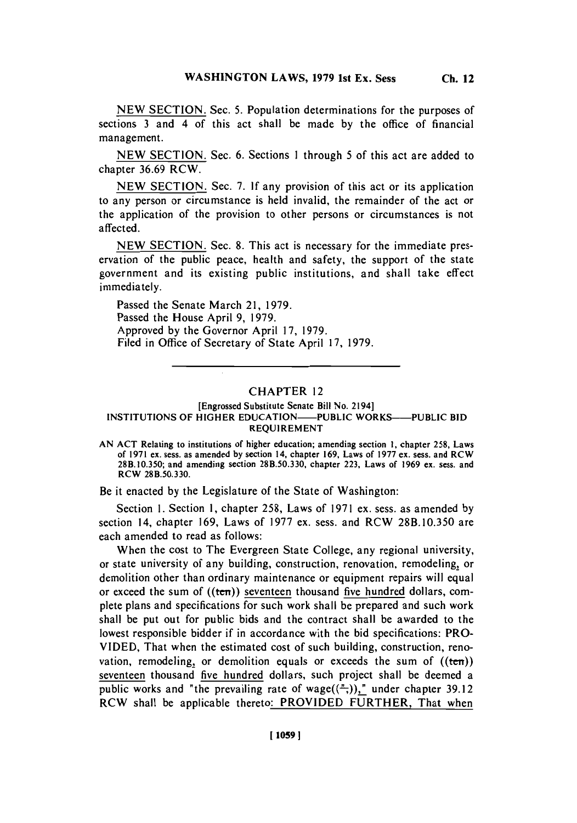**NEW SECTION.** Sec. **6.** Sections **I** through **5** of this act are added to chapter **36.69** RCW.

**NEW SECTION.** Sec. **7. If** any provision of this act or its application to any person or circumstance is **held** invalid, the remainder of the act or the application of the provision to other persons or circumstances is not affected.

**NEW SECTION.** Sec. **8.** This act is necessary for the immediate preservation of the public peace, health and safety, the support of the state government and its existing public institutions, and shall take effect immediately.

Passed the Senate March 21, **1979.** Passed the House April **9, 1979.** Approved **by** the Governor April **17, 1979.** Filed in Office of Secretary of State April **17, 1979.**

## CHAPTER 12

## [Engrossed Substitute Senate Bill No. 2194] **INSTITUTIONS OF HIGHER EDUCATION—PUBLIC WORKS—PUBLIC BID REQUIREMENT**

**AN ACT** Relating to institutions of higher education; amending section **1,** chapter **258,** Laws of **1971** ex. sess. as amended **by** section 14, chapter **169,** Laws of **1977** ex. sess. and RCW **28B.10.350;** and amending section **28B.50.330,** chapter **223,** Laws of **1969** ex. sess. and RCW **28B.50.330.**

Be it enacted **by** the Legislature of the State of Washington:

Section **1.** Section **1,** chapter **258,** Laws of **1971** ex. sess. as amended **by** section 14, chapter 169, Laws of 1977 ex. sess. and RCW 28B.10.350 are each amended to read as follows:

When the cost to The Evergreen State College, any regional university, or state university of any building, construction, renovation, remodeling, or demolition other than ordinary maintenance or equipment repairs will equal or exceed the sum of ((ten)) seventeen thousand five hundred dollars, complete plans and specifications for such work shall be prepared and such work shall be put out for public bids and the contract shall be awarded to the lowest responsible bidder if in accordance with the bid specifications: PRO-**VIDED,** That when the estimated cost of such building, construction, renovation, remodeling, or demolition equals or exceeds the sum of  $((ten))$ seventeen thousand five hundred dollars, such project shall be deemed a public works and "the prevailing rate of wage( $(\frac{\pi}{\tau})$ )," under chapter 39.12 RCW shall be applicable thereto: PROVIDED FURTHER, That when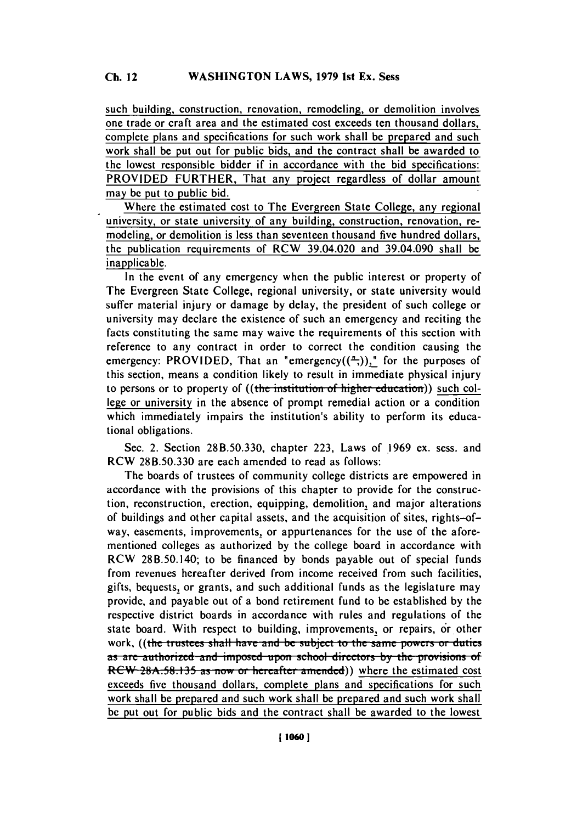such building, construction, renovation, remodeling, or demolition involves one trade or craft area and the estimated cost exceeds ten thousand dollars, complete plans and specifications for such work shall be prepared and such work shall **be** put out for public bids, and the contract shall be awarded to the lowest responsible bidder if in accordance with the bid specifications: PROVIDED FURTHER, That any project regardless of dollar amount may **be** put to public bid.

Where the estimated cost to The Evergreen State College, any regional university, or state university of any building, construction, renovation, remodeling, or demolition is less than seventeen thousand five hundred dollars, the publication requirements of RCW 39.04.020 and 39.04.090 shall be inapplicable.

In the event of any emergency when the public interest or property of The Evergreen State College, regional university, or state university would suffer material injury or damage **by** delay, the president of such college or university may declare the existence of such an emergency and reciting the facts constituting the same may waive the requirements of this section with reference to any contract in order to correct the condition causing the emergency: PROVIDED, That an "emergency( $(\frac{\pi}{2})$ )," for the purposes of this section, means a condition likely to result in immediate physical injury to persons or to property of ((the institution of higher education)) such college or university in the absence of prompt remedial action or a condition which immediately impairs the institution's ability to perform its educational obligations.

Sec. 2. Section **28B.50.330,** chapter **223,** Laws of **.1969** ex. sess. and RCW 28B.50.330 are each amended to read as follows:

The boards of trustees of community college districts are empowered in accordance with the provisions of this chapter to provide for the construction, reconstruction, erection, equipping, demolition, and major alterations of buildings and other capital assets, and the acquisition of sites, rights-ofway, easements, improvements, or appurtenances for the use of the aforementioned colleges as authorized **by** the college board in accordance with RCW 28B.50.140; to be financed by bonds payable out of special funds from revenues hereafter derived from income received from such facilities, gifts, bequests, or grants, and such additional funds as the legislature may provide, and payable out of a bond retirement fund to be established **by** the respective district boards in accordance with rules and regulations of the state board. With respect to building, improvements, or repairs, or other work, ((the trustees shall have and be subject to the same powers or duties as are authorized and imposed upon school directors by the provisions of RCW 28A.58.135 as now or hereafter amended)) where the estimated cost exceeds five thousand dollars, complete plans and specifications for such work shall be prepared and such work shall **be** prepared and such work shall be put out for public bids and the contract shall be awarded to the lowest